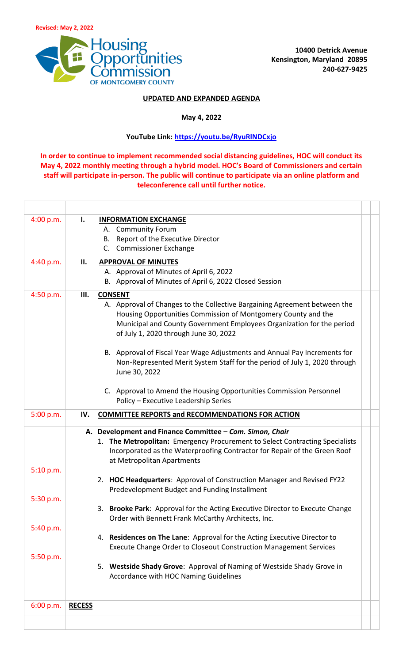

## **UPDATED AND EXPANDED AGENDA**

## **May 4, 2022**

## **YouTube Link:<https://youtu.be/RyuRlNDCxjo>**

**In order to continue to implement recommended social distancing guidelines, HOC will conduct its May 4, 2022 monthly meeting through a hybrid model. HOC's Board of Commissioners and certain staff will participate in-person. The public will continue to participate via an online platform and teleconference call until further notice.**

| 4:00 p.m. | <b>INFORMATION EXCHANGE</b><br>Ι.                                            |  |
|-----------|------------------------------------------------------------------------------|--|
|           | A. Community Forum                                                           |  |
|           | B. Report of the Executive Director                                          |  |
|           | C. Commissioner Exchange                                                     |  |
| 4:40 p.m. | П.<br><b>APPROVAL OF MINUTES</b>                                             |  |
|           | A. Approval of Minutes of April 6, 2022                                      |  |
|           | B. Approval of Minutes of April 6, 2022 Closed Session                       |  |
| 4:50 p.m. | <b>CONSENT</b><br>Ш.                                                         |  |
|           | A. Approval of Changes to the Collective Bargaining Agreement between the    |  |
|           | Housing Opportunities Commission of Montgomery County and the                |  |
|           | Municipal and County Government Employees Organization for the period        |  |
|           | of July 1, 2020 through June 30, 2022                                        |  |
|           | B. Approval of Fiscal Year Wage Adjustments and Annual Pay Increments for    |  |
|           | Non-Represented Merit System Staff for the period of July 1, 2020 through    |  |
|           | June 30, 2022                                                                |  |
|           |                                                                              |  |
|           | C. Approval to Amend the Housing Opportunities Commission Personnel          |  |
|           | Policy - Executive Leadership Series                                         |  |
| 5:00 p.m. | IV.<br><b>COMMITTEE REPORTS and RECOMMENDATIONS FOR ACTION</b>               |  |
|           | A. Development and Finance Committee - Com. Simon, Chair                     |  |
|           | 1. The Metropolitan: Emergency Procurement to Select Contracting Specialists |  |
|           | Incorporated as the Waterproofing Contractor for Repair of the Green Roof    |  |
|           | at Metropolitan Apartments                                                   |  |
| 5:10 p.m. |                                                                              |  |
|           | 2. HOC Headquarters: Approval of Construction Manager and Revised FY22       |  |
|           | Predevelopment Budget and Funding Installment                                |  |
| 5:30 p.m. | 3. Brooke Park: Approval for the Acting Executive Director to Execute Change |  |
|           | Order with Bennett Frank McCarthy Architects, Inc.                           |  |
| 5:40 p.m. |                                                                              |  |
|           | 4. Residences on The Lane: Approval for the Acting Executive Director to     |  |
|           | Execute Change Order to Closeout Construction Management Services            |  |
| 5:50 p.m. |                                                                              |  |
|           | 5. Westside Shady Grove: Approval of Naming of Westside Shady Grove in       |  |
|           | Accordance with HOC Naming Guidelines                                        |  |
|           |                                                                              |  |
| 6:00 p.m. | <b>RECESS</b>                                                                |  |
|           |                                                                              |  |
|           |                                                                              |  |
|           |                                                                              |  |